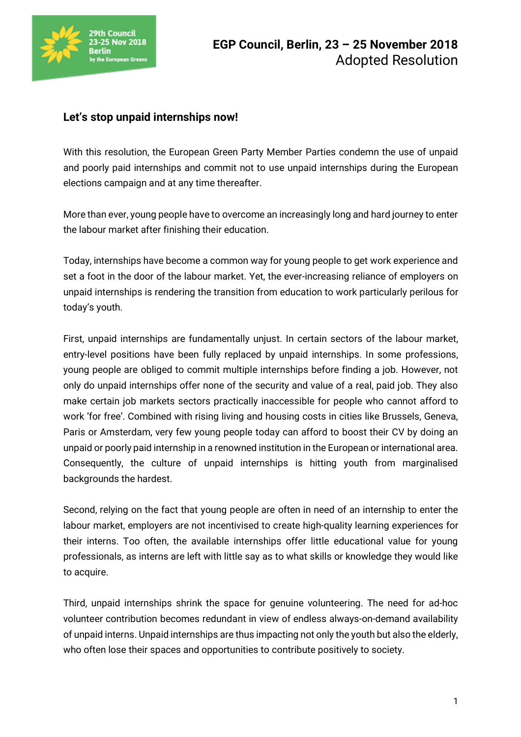

## **Let's stop unpaid internships now!**

With this resolution, the European Green Party Member Parties condemn the use of unpaid and poorly paid internships and commit not to use unpaid internships during the European elections campaign and at any time thereafter.

More than ever, young people have to overcome an increasingly long and hard journey to enter the labour market after finishing their education.

Today, internships have become a common way for young people to get work experience and set a foot in the door of the labour market. Yet, the ever-increasing reliance of employers on unpaid internships is rendering the transition from education to work particularly perilous for today's youth.

First, unpaid internships are fundamentally unjust. In certain sectors of the labour market, entry-level positions have been fully replaced by unpaid internships. In some professions, young people are obliged to commit multiple internships before finding a job. However, not only do unpaid internships offer none of the security and value of a real, paid job. They also make certain job markets sectors practically inaccessible for people who cannot afford to work 'for free'. Combined with rising living and housing costs in cities like Brussels, Geneva, Paris or Amsterdam, very few young people today can afford to boost their CV by doing an unpaid or poorly paid internship in a renowned institution in the European or international area. Consequently, the culture of unpaid internships is hitting youth from marginalised backgrounds the hardest.

Second, relying on the fact that young people are often in need of an internship to enter the labour market, employers are not incentivised to create high-quality learning experiences for their interns. Too often, the available internships offer little educational value for young professionals, as interns are left with little say as to what skills or knowledge they would like to acquire.

Third, unpaid internships shrink the space for genuine volunteering. The need for ad-hoc volunteer contribution becomes redundant in view of endless always-on-demand availability of unpaid interns. Unpaid internships are thus impacting not only the youth but also the elderly, who often lose their spaces and opportunities to contribute positively to society.